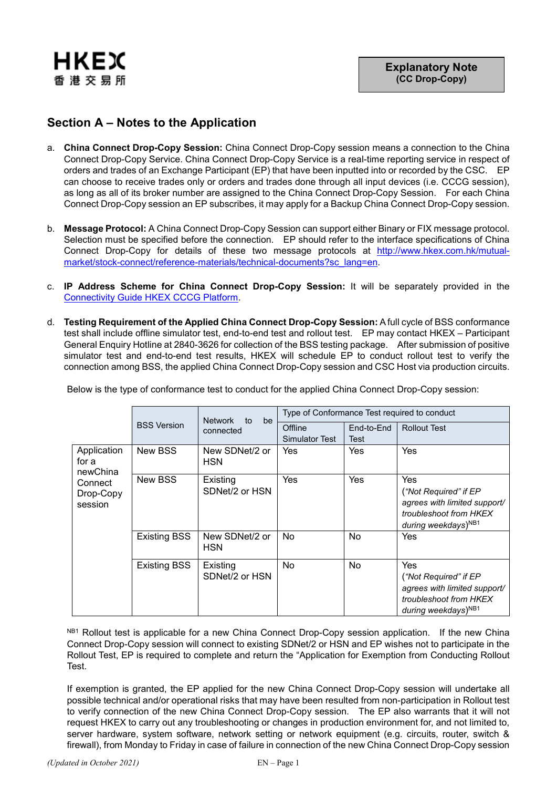

## **Section A – Notes to the Application**

- a. **China Connect Drop-Copy Session:** China Connect Drop-Copy session means a connection to the China Connect Drop-Copy Service. China Connect Drop-Copy Service is a real-time reporting service in respect of orders and trades of an Exchange Participant (EP) that have been inputted into or recorded by the CSC. EP can choose to receive trades only or orders and trades done through all input devices (i.e. CCCG session), as long as all of its broker number are assigned to the China Connect Drop-Copy Session. For each China Connect Drop-Copy session an EP subscribes, it may apply for a Backup China Connect Drop-Copy session.
- b. **Message Protocol:** A China Connect Drop-Copy Session can support either Binary or FIX message protocol. Selection must be specified before the connection. EP should refer to the interface specifications of China Connect Drop-Copy for details of these two message protocols at [http://www.hkex.com.hk/mutual](http://www.hkex.com.hk/mutual-market/stock-connect/reference-materials/technical-documents?sc_lang=en)[market/stock-connect/reference-materials/technical-documents?sc\\_lang=en.](http://www.hkex.com.hk/mutual-market/stock-connect/reference-materials/technical-documents?sc_lang=en)
- c. **IP Address Scheme for China Connect Drop-Copy Session:** It will be separately provided in the [Connectivity Guide](http://www.hkex.com.hk/-/media/hkex-market/mutual-market/stock-connect/reference-materials/technical-documents/cccg-specifications/hkex_cccg_connectivity_guide) HKEX CCCG Platform.
- d. **Testing Requirement of the Applied China Connect Drop-Copy Session:** A full cycle of BSS conformance test shall include offline simulator test, end-to-end test and rollout test. EP may contact HKEX – Participant General Enquiry Hotline at 2840-3626 for collection of the BSS testing package. After submission of positive simulator test and end-to-end test results, HKEX will schedule EP to conduct rollout test to verify the connection among BSS, the applied China Connect Drop-Copy session and CSC Host via production circuits.

|                                                                     | <b>BSS Version</b>  | <b>Network</b><br>to<br>be<br>connected | Type of Conformance Test required to conduct |                    |                                                                                                                           |
|---------------------------------------------------------------------|---------------------|-----------------------------------------|----------------------------------------------|--------------------|---------------------------------------------------------------------------------------------------------------------------|
|                                                                     |                     |                                         | Offline<br>Simulator Test                    | End-to-End<br>Test | <b>Rollout Test</b>                                                                                                       |
| Application<br>for a<br>newChina<br>Connect<br>Drop-Copy<br>session | New BSS             | New SDNet/2 or<br><b>HSN</b>            | Yes                                          | Yes                | Yes                                                                                                                       |
|                                                                     | New BSS             | Existing<br>SDNet/2 or HSN              | Yes                                          | Yes                | Yes<br>("Not Required" if EP<br>agrees with limited support/<br>troubleshoot from HKEX<br>during weekdays) <sup>NB1</sup> |
|                                                                     | <b>Existing BSS</b> | New SDNet/2 or<br><b>HSN</b>            | No                                           | No                 | Yes                                                                                                                       |
|                                                                     | <b>Existing BSS</b> | Existing<br>SDNet/2 or HSN              | No                                           | No                 | Yes<br>("Not Required" if EP<br>agrees with limited support/<br>troubleshoot from HKEX<br>during weekdays) <sup>NB1</sup> |

Below is the type of conformance test to conduct for the applied China Connect Drop-Copy session:

NB1 Rollout test is applicable for a new China Connect Drop-Copy session application. If the new China Connect Drop-Copy session will connect to existing SDNet/2 or HSN and EP wishes not to participate in the Rollout Test, EP is required to complete and return the "Application for Exemption from Conducting Rollout Test.

If exemption is granted, the EP applied for the new China Connect Drop-Copy session will undertake all possible technical and/or operational risks that may have been resulted from non-participation in Rollout test to verify connection of the new China Connect Drop-Copy session. The EP also warrants that it will not request HKEX to carry out any troubleshooting or changes in production environment for, and not limited to, server hardware, system software, network setting or network equipment (e.g. circuits, router, switch & firewall), from Monday to Friday in case of failure in connection of the new China Connect Drop-Copy session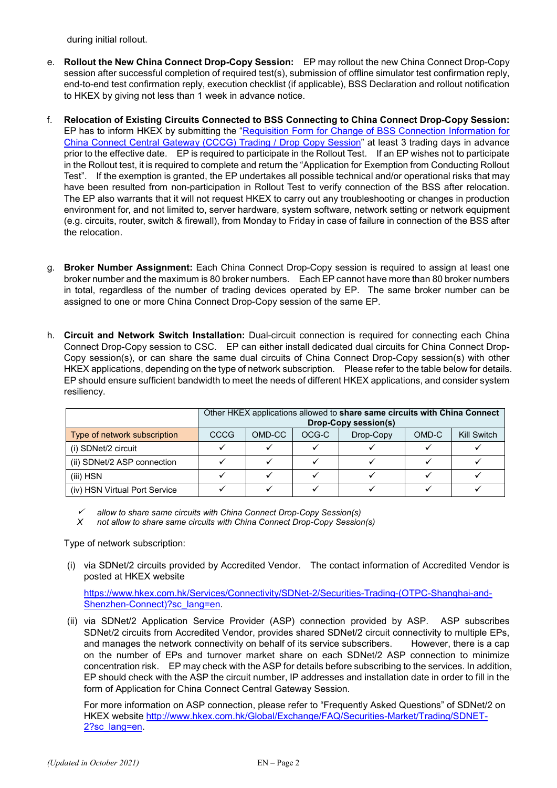during initial rollout.

- e. **Rollout the New China Connect Drop-Copy Session:** EP may rollout the new China Connect Drop-Copy session after successful completion of required test(s), submission of offline simulator test confirmation reply, end-to-end test confirmation reply, execution checklist (if applicable), BSS Declaration and rollout notification to HKEX by giving not less than 1 week in advance notice.
- f. **Relocation of Existing Circuits Connected to BSS Connecting to China Connect Drop-Copy Session:**  EP has to inform HKEX by submitting the "Requisition Form for Change of BSS Connection Information for [China Connect Central Gateway \(CCCG\) Trading / Drop Copy Session"](https://www.hkex.com.hk/-/media/HKEX-Market/Services/Rules-and-Forms-and-Fees/Forms/Securities-(Stock-Connect)/Trading/Operations/Trading-Device/Requisition_Form_for_Change_of_BSS_Connection_Information_CCCG.pdf?la=en) at least 3 trading days in advance prior to the effective date. EP is required to participate in the Rollout Test. If an EP wishes not to participate in the Rollout test, it is required to complete and return the "Application for Exemption from Conducting Rollout Test". If the exemption is granted, the EP undertakes all possible technical and/or operational risks that may have been resulted from non-participation in Rollout Test to verify connection of the BSS after relocation. The EP also warrants that it will not request HKEX to carry out any troubleshooting or changes in production environment for, and not limited to, server hardware, system software, network setting or network equipment (e.g. circuits, router, switch & firewall), from Monday to Friday in case of failure in connection of the BSS after the relocation.
- g. **Broker Number Assignment:** Each China Connect Drop-Copy session is required to assign at least one broker number and the maximum is 80 broker numbers. Each EP cannot have more than 80 broker numbers in total, regardless of the number of trading devices operated by EP. The same broker number can be assigned to one or more China Connect Drop-Copy session of the same EP.
- h. **Circuit and Network Switch Installation:** Dual-circuit connection is required for connecting each China Connect Drop-Copy session to CSC. EP can either install dedicated dual circuits for China Connect Drop-Copy session(s), or can share the same dual circuits of China Connect Drop-Copy session(s) with other HKEX applications, depending on the type of network subscription. Please refer to the table below for details. EP should ensure sufficient bandwidth to meet the needs of different HKEX applications, and consider system resiliency.

|                               | Other HKEX applications allowed to share same circuits with China Connect<br><b>Drop-Copy session(s)</b> |        |       |           |       |             |
|-------------------------------|----------------------------------------------------------------------------------------------------------|--------|-------|-----------|-------|-------------|
| Type of network subscription  | CCCG                                                                                                     | OMD-CC | OCG-C | Drop-Copy | OMD-C | Kill Switch |
| (i) SDNet/2 circuit           |                                                                                                          |        |       |           |       |             |
| (ii) SDNet/2 ASP connection   |                                                                                                          |        |       |           |       |             |
| $(iii)$ HSN                   |                                                                                                          |        |       |           |       |             |
| (iv) HSN Virtual Port Service |                                                                                                          |        |       |           |       |             |

✓ *allow to share same circuits with China Connect Drop-Copy Session(s)*

*X not allow to share same circuits with China Connect Drop-Copy Session(s)*

Type of network subscription:

(i) via SDNet/2 circuits provided by Accredited Vendor. The contact information of Accredited Vendor is posted at HKEX website

[https://www.hkex.com.hk/Services/Connectivity/SDNet-2/Securities-Trading-\(OTPC-Shanghai-and-](https://www.hkex.com.hk/Services/Connectivity/SDNet-2/Securities-Trading-(OTPC-Shanghai-and-Shenzhen-Connect)?sc_lang=en)[Shenzhen-Connect\)?sc\\_lang=en.](https://www.hkex.com.hk/Services/Connectivity/SDNet-2/Securities-Trading-(OTPC-Shanghai-and-Shenzhen-Connect)?sc_lang=en)

(ii) via SDNet/2 Application Service Provider (ASP) connection provided by ASP. ASP subscribes SDNet/2 circuits from Accredited Vendor, provides shared SDNet/2 circuit connectivity to multiple EPs, and manages the network connectivity on behalf of its service subscribers. However, there is a cap on the number of EPs and turnover market share on each SDNet/2 ASP connection to minimize concentration risk. EP may check with the ASP for details before subscribing to the services. In addition, EP should check with the ASP the circuit number, IP addresses and installation date in order to fill in the form of Application for China Connect Central Gateway Session.

For more information on ASP connection, please refer to "Frequently Asked Questions" of SDNet/2 on HKEX website [http://www.hkex.com.hk/Global/Exchange/FAQ/Securities-Market/Trading/SDNET-](http://www.hkex.com.hk/Global/Exchange/FAQ/Securities-Market/Trading/SDNET-2?sc_lang=en)[2?sc\\_lang=en.](http://www.hkex.com.hk/Global/Exchange/FAQ/Securities-Market/Trading/SDNET-2?sc_lang=en)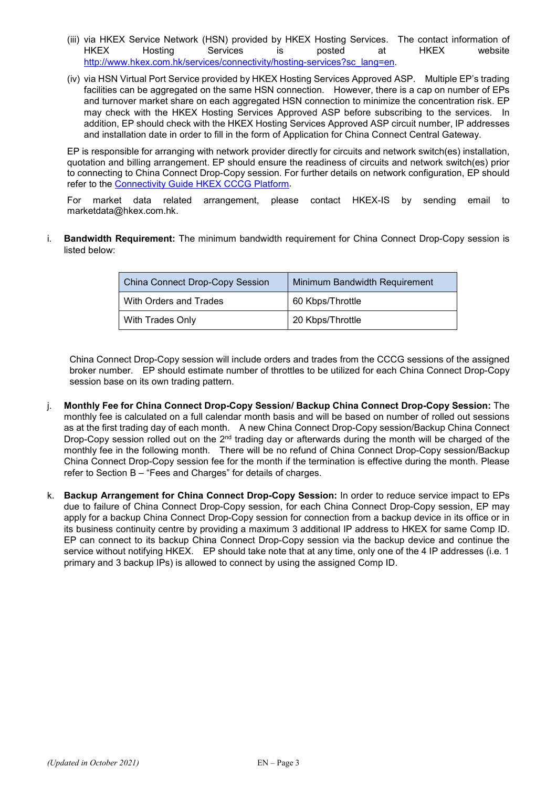- (iii) via HKEX Service Network (HSN) provided by HKEX Hosting Services. The contact information of HKEX Hosting Services is posted at HKEX website [http://www.hkex.com.hk/services/connectivity/hosting-services?sc\\_lang=en.](http://www.hkex.com.hk/services/connectivity/hosting-services?sc_lang=en)
- (iv) via HSN Virtual Port Service provided by HKEX Hosting Services Approved ASP. Multiple EP's trading facilities can be aggregated on the same HSN connection. However, there is a cap on number of EPs and turnover market share on each aggregated HSN connection to minimize the concentration risk. EP may check with the HKEX Hosting Services Approved ASP before subscribing to the services. In addition, EP should check with the HKEX Hosting Services Approved ASP circuit number, IP addresses and installation date in order to fill in the form of Application for China Connect Central Gateway.

EP is responsible for arranging with network provider directly for circuits and network switch(es) installation, quotation and billing arrangement. EP should ensure the readiness of circuits and network switch(es) prior to connecting to China Connect Drop-Copy session. For further details on network configuration, EP should refer to the [Connectivity Guide HKEX CCCG Platform.](http://www.hkex.com.hk/-/media/hkex-market/mutual-market/stock-connect/reference-materials/technical-documents/cccg-specifications/hkex_cccg_connectivity_guide)

For market data related arrangement, please contact HKEX-IS by sending email to [marketdata@hkex.com.hk.](mailto:marketdata@hkex.com.hk)

i. **Bandwidth Requirement:** The minimum bandwidth requirement for China Connect Drop-Copy session is listed below:

| <b>China Connect Drop-Copy Session</b> | Minimum Bandwidth Requirement |  |  |
|----------------------------------------|-------------------------------|--|--|
| With Orders and Trades                 | 60 Kbps/Throttle              |  |  |
| With Trades Only                       | 20 Kbps/Throttle              |  |  |

China Connect Drop-Copy session will include orders and trades from the CCCG sessions of the assigned broker number. EP should estimate number of throttles to be utilized for each China Connect Drop-Copy session base on its own trading pattern.

- j. **Monthly Fee for China Connect Drop-Copy Session/ Backup China Connect Drop-Copy Session:** The monthly fee is calculated on a full calendar month basis and will be based on number of rolled out sessions as at the first trading day of each month. A new China Connect Drop-Copy session/Backup China Connect Drop-Copy session rolled out on the  $2<sup>nd</sup>$  trading day or afterwards during the month will be charged of the monthly fee in the following month. There will be no refund of China Connect Drop-Copy session/Backup China Connect Drop-Copy session fee for the month if the termination is effective during the month. Please refer to Section B – "Fees and Charges" for details of charges.
- k. **Backup Arrangement for China Connect Drop-Copy Session:** In order to reduce service impact to EPs due to failure of China Connect Drop-Copy session, for each China Connect Drop-Copy session, EP may apply for a backup China Connect Drop-Copy session for connection from a backup device in its office or in its business continuity centre by providing a maximum 3 additional IP address to HKEX for same Comp ID. EP can connect to its backup China Connect Drop-Copy session via the backup device and continue the service without notifying HKEX. EP should take note that at any time, only one of the 4 IP addresses (i.e. 1 primary and 3 backup IPs) is allowed to connect by using the assigned Comp ID.